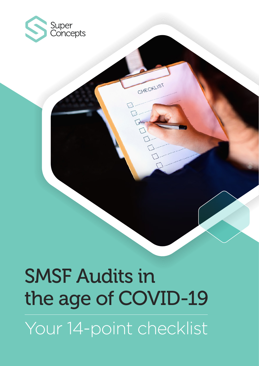

# SMSF Audits in the age of COVID-19

CHECKLIST

Your 14-point checklist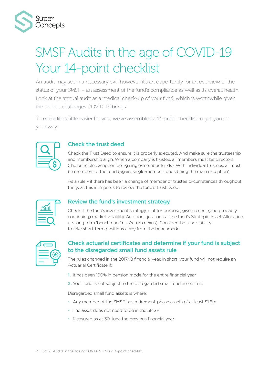

## SMSF Audits in the age of COVID-19 Your 14-point checklist

An audit may seem a necessary evil, however, it's an opportunity for an overview of the status of your SMSF – an assessment of the fund's compliance as well as its overall health. Look at the annual audit as a medical check-up of your fund, which is worthwhile given the unique challenges COVID-19 brings.

To make life a little easier for you, we've assembled a 14-point checklist to get you on your way.



#### Check the trust deed

Check the Trust Deed to ensure it is properly executed. And make sure the trusteeship and membership align. When a company is trustee, all members must be directors (the principle exception being single-member funds). With individual trustees, all must be members of the fund (again, single-member funds being the main exception).

As a rule – if there has been a change of member or trustee circumstances throughout the year, this is impetus to review the fund's Trust Deed.

| $\frac{1}{2}$ |  |
|---------------|--|
|               |  |

#### Review the fund's investment strategy

Check if the fund's investment strategy is fit for purpose, given recent (and probably continuing) market volatility. And don't just look at the fund's Strategic Asset Allocation (its long term 'benchmark' risk/return nexus). Consider the fund's ability to take short-term positions away from the benchmark.

#### Check actuarial certificates and determine if your fund is subject to the disregarded small fund assets rule

The rules changed in the 2017/18 financial year. In short, your fund will not require an Actuarial Certificate if:

- 1. It has been 100% in pension mode for the entire financial year
- 2. Your fund is not subject to the disregarded small fund assets rule

Disregarded small fund assets is where:

- Any member of the SMSF has retirement-phase assets of at least \$1.6m
- The asset does not need to be in the SMSF
- Measured as at 30 June the previous financial year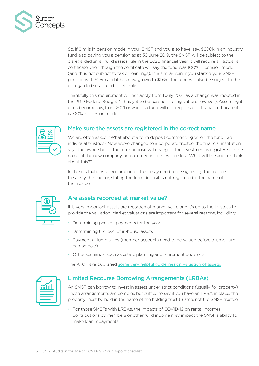

So, if \$1m is in pension mode in your SMSF and you also have, say, \$600k in an industry fund also paying you a pension as at 30 June 2019, the SMSF will be subject to the disregarded small fund assets rule in the 2020 financial year. It will require an actuarial certificate, even though the certificate will say the fund was 100% in pension mode (and thus not subject to tax on earnings). In a similar vein, if you started your SMSF pension with \$1.5m and it has now grown to \$1.6m, the fund will also be subject to the disregarded small fund assets rule.

Thankfully this requirement will not apply from 1 July 2021, as a change was mooted in the 2019 Federal Budget (it has yet to be passed into legislation, however). Assuming it does become law, from 2021 onwards, a fund will not require an actuarial certificate if it is 100% in pension mode.



#### Make sure the assets are registered in the correct name

We are often asked, "What about a term deposit commencing when the fund had individual trustees? Now we've changed to a corporate trustee, the financial institution says the ownership of the term deposit will change if the investment is registered in the name of the new company, and accrued interest will be lost. What will the auditor think about this?"

In these situations, a Declaration of Trust may need to be signed by the trustee to satisfy the auditor, stating the term deposit is not registered in the name of the trustee.

#### Are assets recorded at market value?

It is very important assets are recorded at market value and it's up to the trustees to provide the valuation. Market valuations are important for several reasons, including:

- Determining pension payments for the year
- Determining the level of in-house assets
- Payment of lump sums (member accounts need to be valued before a lump sum can be paid)
- Other scenarios, such as estate planning and retirement decisions.

The ATO have published [some very helpful guidelines on valuation of assets.](https://www.ato.gov.au/Super/Self-managed-super-funds/In-detail/SMSF-resources/Valuation-guidelines-for-self-managed-super-funds/)

| $\mathbf{\widetilde{\mu}}$ الل |  |
|--------------------------------|--|
|                                |  |

#### Limited Recourse Borrowing Arrangements (LRBAs)

An SMSF can borrow to invest in assets under strict conditions (usually for property). These arrangements are complex but suffice to say if you have an LRBA in place, the property must be held in the name of the holding trust trustee, not the SMSF trustee.

• For those SMSFs with LRBAs, the impacts of COVID-19 on rental incomes, contributions by members or other fund income may impact the SMSF's ability to make loan repayments.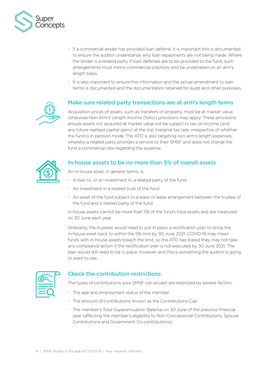

- If a commercial lender has provided loan deferral, it is important this is documented to ensure the auditor understands why loan repayments are not being made. Where the lender is a related party, if loan deferrals are to be provided to the fund, such arrangements must mirror commercial practices and be undertaken on an arm's length basis.
- It is also important to ensure this information and the actual amendment to loan terms is documented and the documentation retained for audit and other purposes.



#### Make sure related party transactions are at arm's length terms

Acquisition prices of assets, such as transfers of property, must be at market value, otherwise Non-Arm's Length Income (NALI) provisions may apply. These provisions ensure assets not acquired at market value will be subject to tax on income (and any future realised capital gains) at the top marginal tax rate, irrespective of whether the fund is in pension mode. The ATO is also targeting non-arm's length expenses; whereby a related party provides a service to their SMSF and does not charge the fund a commercial rate regarding the expense.



#### In-house assets to be no more than 5% of overall assets

An in-house asset, in general terms, is:

- A loan to, or an investment in, a related party of the fund
- An investment in a related trust of the fund
- An asset of the fund subject to a lease or lease arrangement between the trustee of the fund and a related party of the fund.

In-house assets cannot be more than 5% of the fund's total assets and are measured on 30 June each year.

Ordinarily, the trustees would need to put in place a rectification plan to bring the in-house asset back to within the 5% limit by 30 June 2021. COVID-19 may mean funds with in-house assets breach the limit, so the ATO has stated they may not take any compliance action if the rectification plan is not executed by 30 June 2021. The plan would still need to be in place, however, and this is something the auditor is going to want to see.



#### Check the contribution restrictions

The types of contributions your SMSF can accept are restricted by several factors:

- The age and employment status of the member
- The amount of contributions, known as the Contributions Cap
- The member's Total Superannuation Balance on 30 June of the previous financial year (affecting the member's eligibility to Non-Concessional Contributions, Spouse Contributions and Government Co-contributions).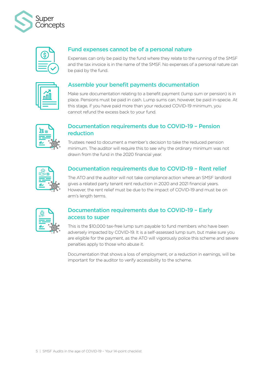



#### Fund expenses cannot be of a personal nature

Expenses can only be paid by the fund where they relate to the running of the SMSF and the tax invoice is in the name of the SMSF. No expenses of a personal nature can be paid by the fund.

#### Assemble your benefit payments documentation

Make sure documentation relating to a benefit payment (lump sum or pension) is in place. Pensions must be paid in cash. Lump sums can, however, be paid in-specie. At this stage, if you have paid more than your reduced COVID-19 minimum, you cannot refund the excess back to your fund.



#### Documentation requirements due to COVID-19 – Pension reduction

Trustees need to document a member's decision to take the reduced pension minimum. The auditor will require this to see why the ordinary minimum was not drawn from the fund in the 2020 financial year.



#### Documentation requirements due to COVID-19 – Rent relief

The ATO and the auditor will not take compliance action where an SMSF landlord gives a related party tenant rent reduction in 2020 and 2021 financial years. However, the rent relief must be due to the impact of COVID-19 and must be on arm's length terms.



#### Documentation requirements due to COVID-19 – Early access to super

This is the \$10,000 tax-free lump sum payable to fund members who have been adversely impacted by COVID-19. It is a self-assessed lump sum, but make sure you are eligible for the payment, as the ATO will vigorously police this scheme and severe penalties apply to those who abuse it.

Documentation that shows a loss of employment, or a reduction in earnings, will be important for the auditor to verify accessibility to the scheme.